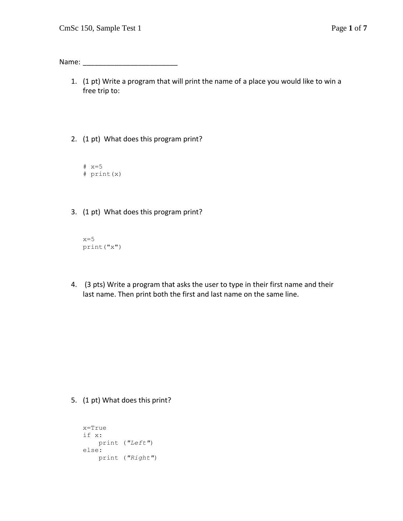Name: \_\_\_\_\_\_\_\_\_\_\_\_\_\_\_\_\_\_\_\_\_\_\_\_

- 1. (1 pt) Write a program that will print the name of a place you would like to win a free trip to:
- 2. (1 pt) What does this program print?
	- $# x=5$ # print(x)
- 3. (1 pt) What does this program print?

```
x=5print("x")
```
4. (3 pts) Write a program that asks the user to type in their first name and their last name. Then print both the first and last name on the same line.

5. (1 pt) What does this print?

```
x=True
if x:
    print ("Left")
else:
    print ("Right")
```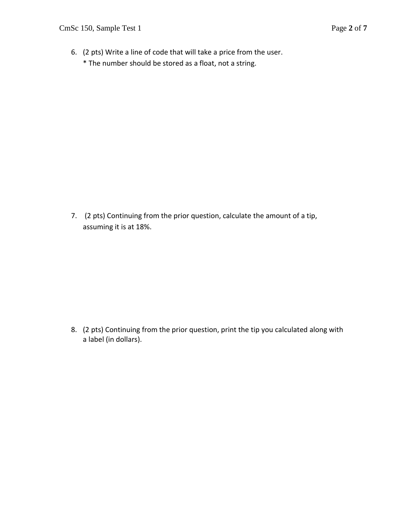6. (2 pts) Write a line of code that will take a price from the user. \* The number should be stored as a float, not a string.

7. (2 pts) Continuing from the prior question, calculate the amount of a tip, assuming it is at 18%.

8. (2 pts) Continuing from the prior question, print the tip you calculated along with a label (in dollars).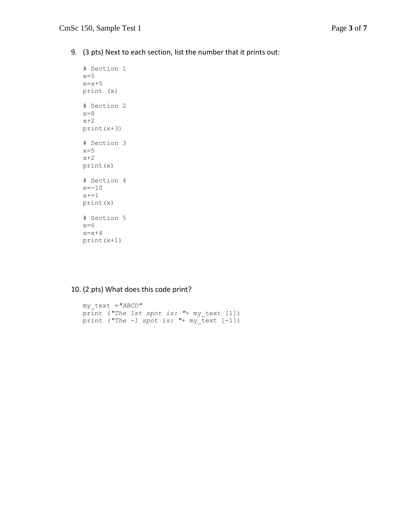9. (3 pts) Next to each section, list the number that it prints out:

```
# Section 1
x=5x=x+5print (x)
# Section 2
x=8x+2print(x+3)
# Section 3
x=5x+2print(x)
# Section 4
x=-10x+=1print(x)
# Section 5
x=6x=x+4print(x+1)
```
## 10. (2 pts) What does this code print?

```
my_text ="ABCD"
print ("The 1st spot is: "+ my_text [1])
print ("The -1 spot is: "+ my_text [-1])
```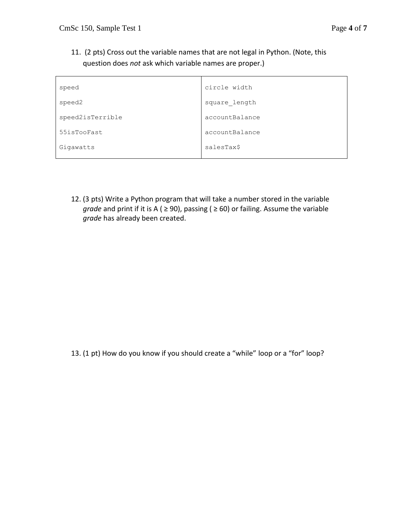11. (2 pts) Cross out the variable names that are not legal in Python. (Note, this question does *not* ask which variable names are proper.)

| speed            | circle width   |
|------------------|----------------|
| speed2           | square length  |
| speed2isTerrible | accountBalance |
| 55isTooFast      | accountBalance |
| Gigawatts        | salesTax\$     |

12. (3 pts) Write a Python program that will take a number stored in the variable *grade* and print if it is A ( ≥ 90), passing ( ≥ 60) or failing. Assume the variable *grade* has already been created.

13. (1 pt) How do you know if you should create a "while" loop or a "for" loop?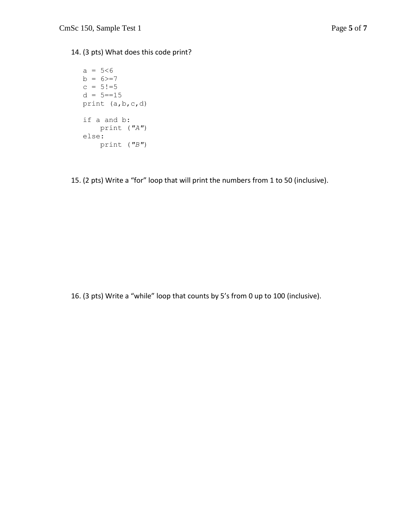## 14. (3 pts) What does this code print?

 $a = 5 < 6$  $b = 6$ >=7  $c = 5! = 5$  $d = 5 == 15$ print (a,b,c,d) if a and b: print (*"A"*) else: print (*"B"*)

15. (2 pts) Write a "for" loop that will print the numbers from 1 to 50 (inclusive).

16. (3 pts) Write a "while" loop that counts by 5's from 0 up to 100 (inclusive).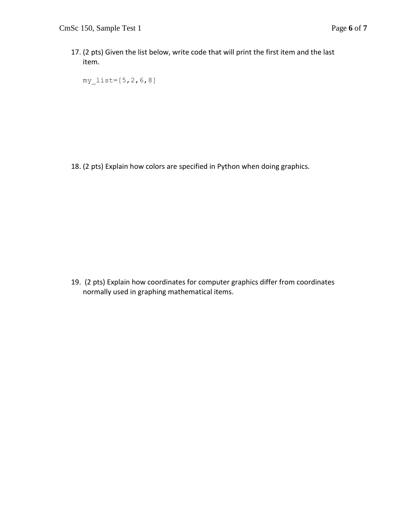17. (2 pts) Given the list below, write code that will print the first item and the last item.

my  $list=[5,2,6,8]$ 

18. (2 pts) Explain how colors are specified in Python when doing graphics.

19. (2 pts) Explain how coordinates for computer graphics differ from coordinates normally used in graphing mathematical items.